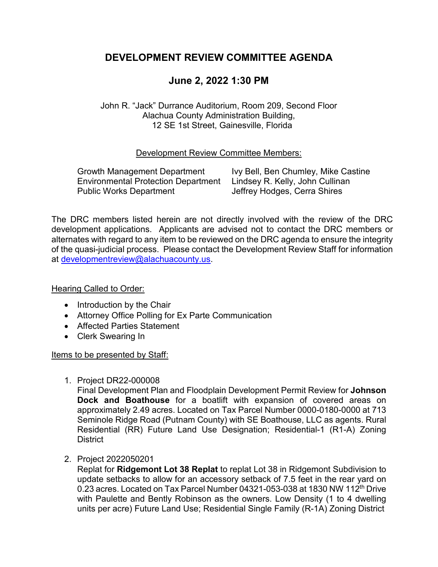# **DEVELOPMENT REVIEW COMMITTEE AGENDA**

# **June 2, 2022 1:30 PM**

John R. "Jack" Durrance Auditorium, Room 209, Second Floor Alachua County Administration Building, 12 SE 1st Street, Gainesville, Florida

# Development Review Committee Members:

Growth Management Department Ivy Bell, Ben Chumley, Mike Castine Environmental Protection Department Lindsey R. Kelly, John Cullinan Public Works Department **In Accord Set Accord Jeffrey Hodges, Cerra Shires** 

The DRC members listed herein are not directly involved with the review of the DRC development applications. Applicants are advised not to contact the DRC members or alternates with regard to any item to be reviewed on the DRC agenda to ensure the integrity of the quasi-judicial process. Please contact the Development Review Staff for information at [developmentreview@alachuacounty.us.](mailto:developmentreview@alachuacounty.us)

### Hearing Called to Order:

- Introduction by the Chair
- Attorney Office Polling for Ex Parte Communication
- Affected Parties Statement
- Clerk Swearing In

### Items to be presented by Staff:

1. Project DR22-000008

Final Development Plan and Floodplain Development Permit Review for **Johnson Dock and Boathouse** for a boatlift with expansion of covered areas on approximately 2.49 acres. Located on Tax Parcel Number 0000-0180-0000 at 713 Seminole Ridge Road (Putnam County) with SE Boathouse, LLC as agents. Rural Residential (RR) Future Land Use Designation; Residential-1 (R1-A) Zoning **District** 

2. Project 2022050201

Replat for **Ridgemont Lot 38 Replat** to replat Lot 38 in Ridgemont Subdivision to update setbacks to allow for an accessory setback of 7.5 feet in the rear yard on 0.23 acres. Located on Tax Parcel Number 04321-053-038 at 1830 NW 112<sup>th</sup> Drive with Paulette and Bently Robinson as the owners. Low Density (1 to 4 dwelling units per acre) Future Land Use; Residential Single Family (R-1A) Zoning District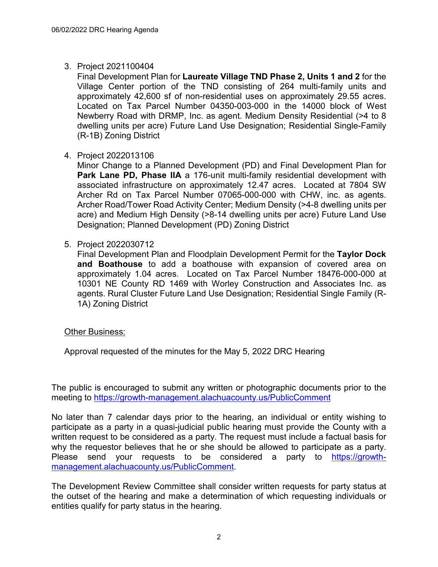# 3. Project 2021100404

Final Development Plan for **Laureate Village TND Phase 2, Units 1 and 2** for the Village Center portion of the TND consisting of 264 multi-family units and approximately 42,600 sf of non-residential uses on approximately 29.55 acres. Located on Tax Parcel Number 04350-003-000 in the 14000 block of West Newberry Road with DRMP, Inc. as agent. Medium Density Residential (>4 to 8 dwelling units per acre) Future Land Use Designation; Residential Single-Family (R-1B) Zoning District

4. Project 2022013106

Minor Change to a Planned Development (PD) and Final Development Plan for **Park Lane PD, Phase IIA** a 176-unit multi-family residential development with associated infrastructure on approximately 12.47 acres. Located at 7804 SW Archer Rd on Tax Parcel Number 07065-000-000 with CHW, inc. as agents. Archer Road/Tower Road Activity Center; Medium Density (>4-8 dwelling units per acre) and Medium High Density (>8-14 dwelling units per acre) Future Land Use Designation; Planned Development (PD) Zoning District

# 5. Project 2022030712

Final Development Plan and Floodplain Development Permit for the **Taylor Dock and Boathouse** to add a boathouse with expansion of covered area on approximately 1.04 acres. Located on Tax Parcel Number 18476-000-000 at 10301 NE County RD 1469 with Worley Construction and Associates Inc. as agents. Rural Cluster Future Land Use Designation; Residential Single Family (R-1A) Zoning District

### Other Business:

Approval requested of the minutes for the May 5, 2022 DRC Hearing

The public is encouraged to submit any written or photographic documents prior to the meeting to<https://growth-management.alachuacounty.us/PublicComment>

No later than 7 calendar days prior to the hearing, an individual or entity wishing to participate as a party in a quasi-judicial public hearing must provide the County with a written request to be considered as a party. The request must include a factual basis for why the requestor believes that he or she should be allowed to participate as a party. Please send your requests to be considered a party to [https://growth](https://growth-management.alachuacounty.us/PublicComment)[management.alachuacounty.us/PublicComment.](https://growth-management.alachuacounty.us/PublicComment)

The Development Review Committee shall consider written requests for party status at the outset of the hearing and make a determination of which requesting individuals or entities qualify for party status in the hearing.